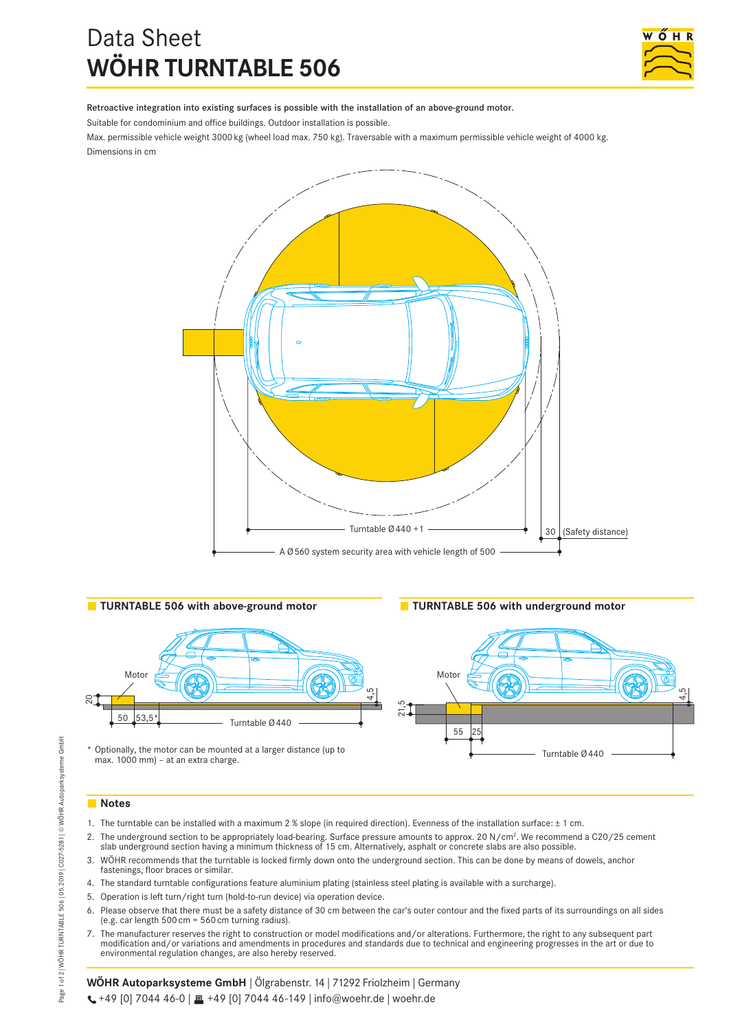# Data Sheet **WÖHR TURNTABLE 506**



Retroactive integration into existing surfaces is possible with the installation of an above-ground motor.

Suitable for condominium and office buildings. Outdoor installation is possible.

Max. permissible vehicle weight 3000 kg (wheel load max. 750 kg). Traversable with a maximum permissible vehicle weight of 4000 kg. Dimensions in cm





\* Optionally, the motor can be mounted at a larger distance (up to max. 1000 mm) – at an extra charge.



# **Notes**

- 1. The turntable can be installed with a maximum 2 % slope (in required direction). Evenness of the installation surface: ± 1 cm.
- 2. The underground section to be appropriately load-bearing. Surface pressure amounts to approx. 20 N/cm<sup>2</sup>. We recommend a C20/25 cement slab underground section having a minimum thickness of 15 cm. Alternatively, asphalt or concrete slabs are also possible.
- 3. WÖHR recommends that the turntable is locked firmly down onto the underground section. This can be done by means of dowels, anchor fastenings, floor braces or similar.
- 4. The standard turntable configurations feature aluminium plating (stainless steel plating is available with a surcharge).
- 5. Operation is left turn/right turn (hold-to-run device) via operation device.
- 6. Please observe that there must be a safety distance of 30 cm between the car's outer contour and the fixed parts of its surroundings on all sides (e.g. car length 500 cm =  $560$  cm turning radius).
- 7. The manufacturer reserves the right to construction or model modifications and/or alterations. Furthermore, the right to any subsequent part modification and/or variations and amendments in procedures and standards due to technical and engineering progresses in the art or due to environmental regulation changes, are also hereby reserved.